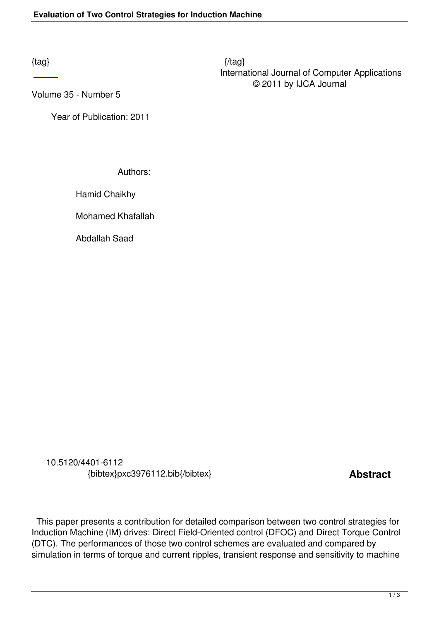Volume 35 - Number 5

 [Ye](http://research.ijcaonline.org/volume35/number5/pxc3976112.pdf)ar of Publication: 2011

Authors:

Hamid Chaikhy

Mohamed Khafallah

Abdallah Saad

 10.5120/4401-6112 {bibtex}pxc3976112.bib{/bibtex} **Abstract** 

 This paper presents a contribution for detailed comparison between two control strategies for Induction Machine (IM) drives: Direct Field-Oriented control (DFOC) and Direct Torque Control (DTC). The performances of those two control schemes are evaluated and compared by simulation in terms of torque and current ripples, transient response and sensitivity to machine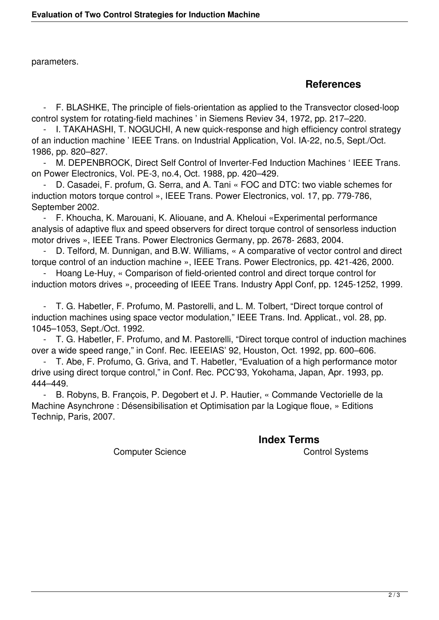parameters.

## **References**

 - F. BLASHKE, The principle of fiels-orientation as applied to the Transvector closed-loop control system for rotating-field machines ' in Siemens Reviev 34, 1972, pp. 217–220.

 - I. TAKAHASHI, T. NOGUCHI, A new quick-response and high efficiency control strategy of an induction machine ' IEEE Trans. on Industrial Application, Vol. IA-22, no.5, Sept./Oct. 1986, pp. 820–827.

 - M. DEPENBROCK, Direct Self Control of Inverter-Fed Induction Machines ' IEEE Trans. on Power Electronics, Vol. PE-3, no.4, Oct. 1988, pp. 420–429.

D. Casadei, F. profum, G. Serra, and A. Tani « FOC and DTC: two viable schemes for induction motors torque control », IEEE Trans. Power Electronics, vol. 17, pp. 779-786, September 2002.

 - F. Khoucha, K. Marouani, K. Aliouane, and A. Kheloui «Experimental performance analysis of adaptive flux and speed observers for direct torque control of sensorless induction motor drives », IEEE Trans. Power Electronics Germany, pp. 2678- 2683, 2004.

D. Telford, M. Dunnigan, and B.W. Williams, « A comparative of vector control and direct torque control of an induction machine », IEEE Trans. Power Electronics, pp. 421-426, 2000.

 - Hoang Le-Huy, « Comparison of field-oriented control and direct torque control for induction motors drives », proceeding of IEEE Trans. Industry Appl Conf, pp. 1245-1252, 1999.

 - T. G. Habetler, F. Profumo, M. Pastorelli, and L. M. Tolbert, "Direct torque control of induction machines using space vector modulation," IEEE Trans. Ind. Applicat., vol. 28, pp. 1045–1053, Sept./Oct. 1992.

 - T. G. Habetler, F. Profumo, and M. Pastorelli, "Direct torque control of induction machines over a wide speed range," in Conf. Rec. IEEEIAS' 92, Houston, Oct. 1992, pp. 600–606.

 - T. Abe, F. Profumo, G. Griva, and T. Habetler, "Evaluation of a high performance motor drive using direct torque control," in Conf. Rec. PCC'93, Yokohama, Japan, Apr. 1993, pp. 444–449.

B. Robyns, B. François, P. Degobert et J. P. Hautier, « Commande Vectorielle de la Machine Asynchrone : Désensibilisation et Optimisation par la Logique floue, » Editions Technip, Paris, 2007.

 **Index Terms**  Computer Science Control Systems